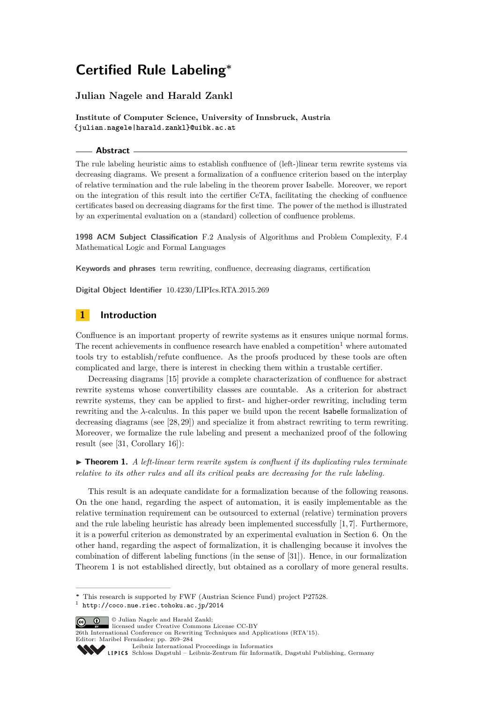# **Julian Nagele and Harald Zankl**

**Institute of Computer Science, University of Innsbruck, Austria {julian.nagele|harald.zankl}@uibk.ac.at**

# **Abstract**

The rule labeling heuristic aims to establish confluence of (left-)linear term rewrite systems via decreasing diagrams. We present a formalization of a confluence criterion based on the interplay of relative termination and the rule labeling in the theorem prover Isabelle. Moreover, we report on the integration of this result into the certifier CeTA, facilitating the checking of confluence certificates based on decreasing diagrams for the first time. The power of the method is illustrated by an experimental evaluation on a (standard) collection of confluence problems.

**1998 ACM Subject Classification** F.2 Analysis of Algorithms and Problem Complexity, F.4 Mathematical Logic and Formal Languages

**Keywords and phrases** term rewriting, confluence, decreasing diagrams, certification

**Digital Object Identifier** [10.4230/LIPIcs.RTA.2015.269](http://dx.doi.org/10.4230/LIPIcs.RTA.2015.269)

# **1 Introduction**

Confluence is an important property of rewrite systems as it ensures unique normal forms. The recent achievements in confluence research have enabled a competition<sup>[1](#page-0-0)</sup> where automated tools try to establish/refute confluence. As the proofs produced by these tools are often complicated and large, there is interest in checking them within a trustable certifier.

Decreasing diagrams [\[15\]](#page-15-0) provide a complete characterization of confluence for abstract rewrite systems whose convertibility classes are countable. As a criterion for abstract rewrite systems, they can be applied to first- and higher-order rewriting, including term rewriting and the *λ*-calculus. In this paper we build upon the recent Isabelle formalization of decreasing diagrams (see [\[28,](#page-15-1) [29\]](#page-15-2)) and specialize it from abstract rewriting to term rewriting. Moreover, we formalize the rule labeling and present a mechanized proof of the following result (see [\[31,](#page-15-3) Corollary 16]):

<span id="page-0-1"></span> $\triangleright$  **Theorem 1.** *A left-linear term rewrite system is confluent if its duplicating rules terminate relative to its other rules and all its critical peaks are decreasing for the rule labeling.*

This result is an adequate candidate for a formalization because of the following reasons. On the one hand, regarding the aspect of automation, it is easily implementable as the relative termination requirement can be outsourced to external (relative) termination provers and the rule labeling heuristic has already been implemented successfully  $[1, 7]$  $[1, 7]$ . Furthermore, it is a powerful criterion as demonstrated by an experimental evaluation in Section [6.](#page-12-0) On the other hand, regarding the aspect of formalization, it is challenging because it involves the combination of different labeling functions (in the sense of [\[31\]](#page-15-3)). Hence, in our formalization Theorem [1](#page-0-1) is not established directly, but obtained as a corollary of more general results.

**C**  $\bullet$   $\bullet$  Julian Nagele and Harald Zankl:

**<sup>∗</sup>** This research is supported by FWF (Austrian Science Fund) project P27528.

<span id="page-0-0"></span><sup>1</sup> <http://coco.nue.riec.tohoku.ac.jp/2014>

licensed under Creative Commons License CC-BY

<sup>26</sup>th International Conference on Rewriting Techniques and Applications (RTA'15). Editor: Maribel Fernández; pp. 269[–284](#page-15-4)

[Leibniz International Proceedings in Informatics](http://www.dagstuhl.de/lipics/)

SCHLOSS Dagstuhl – Leibniz-Zentrum für Informatik, Dagstuhl Publishing, Germany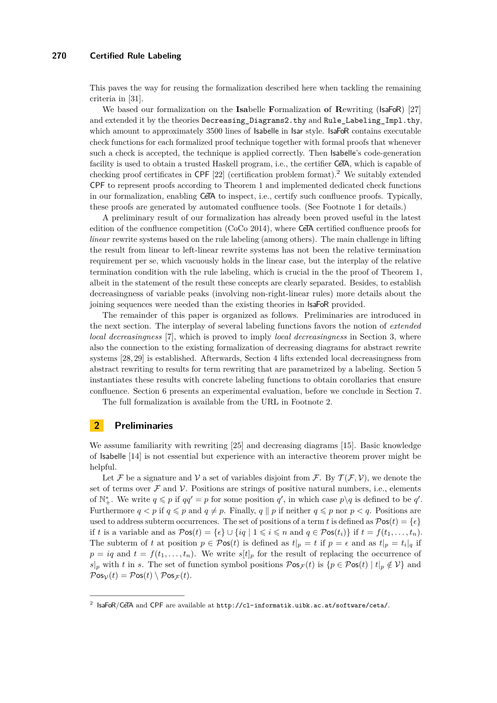This paves the way for reusing the formalization described here when tackling the remaining criteria in [\[31\]](#page-15-3).

We based our formalization on the **Isa**belle **F**ormalization **o**f **R**ewriting (IsaFoR) [\[27\]](#page-15-5) and extended it by the theories Decreasing\_Diagrams2.thy and Rule\_Labeling\_Impl.thy, which amount to approximately 3500 lines of Isabelle in Isar style. IsaFoR contains executable check functions for each formalized proof technique together with formal proofs that whenever such a check is accepted, the technique is applied correctly. Then Isabelle's code-generation facility is used to obtain a trusted Haskell program, i.e., the certifier CeTA, which is capable of checking proof certificates in CPF  $[22]$  (certification problem format).<sup>[2](#page-1-0)</sup> We suitably extended CPF to represent proofs according to Theorem [1](#page-0-1) and implemented dedicated check functions in our formalization, enabling CeTA to inspect, i.e., certify such confluence proofs. Typically, these proofs are generated by automated confluence tools. (See Footnote [1](#page-0-0) for details.)

A preliminary result of our formalization has already been proved useful in the latest edition of the confluence competition (CoCo 2014), where CeTA certified confluence proofs for *linear* rewrite systems based on the rule labeling (among others). The main challenge in lifting the result from linear to left-linear rewrite systems has not been the relative termination requirement per se, which vacuously holds in the linear case, but the interplay of the relative termination condition with the rule labeling, which is crucial in the the proof of Theorem [1,](#page-0-1) albeit in the statement of the result these concepts are clearly separated. Besides, to establish decreasingness of variable peaks (involving non-right-linear rules) more details about the joining sequences were needed than the existing theories in IsaFoR provided.

The remainder of this paper is organized as follows. Preliminaries are introduced in the next section. The interplay of several labeling functions favors the notion of *extended local decreasingness* [\[7\]](#page-14-1), which is proved to imply *local decreasingness* in Section [3,](#page-2-0) where also the connection to the existing formalization of decreasing diagrams for abstract rewrite systems [\[28,](#page-15-1) [29\]](#page-15-2) is established. Afterwards, Section [4](#page-5-0) lifts extended local decreasingness from abstract rewriting to results for term rewriting that are parametrized by a labeling. Section [5](#page-9-0) instantiates these results with concrete labeling functions to obtain corollaries that ensure confluence. Section [6](#page-12-0) presents an experimental evaluation, before we conclude in Section [7.](#page-12-1)

The full formalization is available from the URL in Footnote [2.](#page-1-0)

# **2 Preliminaries**

We assume familiarity with rewriting [\[25\]](#page-15-7) and decreasing diagrams [\[15\]](#page-15-0). Basic knowledge of Isabelle [\[14\]](#page-15-8) is not essential but experience with an interactive theorem prover might be helpful.

Let F be a signature and V a set of variables disjoint from F. By  $\mathcal{T}(\mathcal{F}, V)$ , we denote the set of terms over  $\mathcal F$  and  $\mathcal V$ . Positions are strings of positive natural numbers, i.e., elements of  $\mathbb{N}_{+}^{*}$ . We write  $q \leq p$  if  $qq' = p$  for some position  $q'$ , in which case  $p \setminus q$  is defined to be  $q'$ . Furthermore  $q < p$  if  $q \leq p$  and  $q \neq p$ . Finally,  $q \parallel p$  if neither  $q \leq p$  nor  $p < q$ . Positions are used to address subterm occurrences. The set of positions of a term *t* is defined as  $\mathcal{P}$ os(*t*) = { $\epsilon$ } if *t* is a variable and as  $\mathcal{P}$ os(*t*) = { $\epsilon$ }  $\cup$  {*iq* | 1  $\leq$  *i*  $\leq$  *n* and *q*  $\in$   $\mathcal{P}$ os(*t<sub>i</sub>*)} if *t* = *f*(*t*<sub>1</sub>*, . . . , t<sub>n</sub>*). The subterm of *t* at position  $p \in \mathcal{P}$ os $(t)$  is defined as  $t|_p = t$  if  $p = \epsilon$  and as  $t|_p = t_i|_q$  if  $p = iq$  and  $t = f(t_1, \ldots, t_n)$ . We write  $s[t]_p$  for the result of replacing the occurrence of *s*|*p* with *t* in *s*. The set of function symbol positions  $\mathcal{P}$ os<sub> $\mathcal{F}(t)$ </sub> is { $p \in \mathcal{P}$ os $(t) | t|_p \notin V$ } and  $\mathcal{P}$ os<sub> $\nu$ </sub> $(t) = \mathcal{P}$ os $(t) \setminus \mathcal{P}$ os $\tau(t)$ .

<span id="page-1-0"></span> $^2$  IsaFoR/CeTA and CPF are available at <code><http://cl-informatik.uibk.ac.at/software/ceta/>.</code>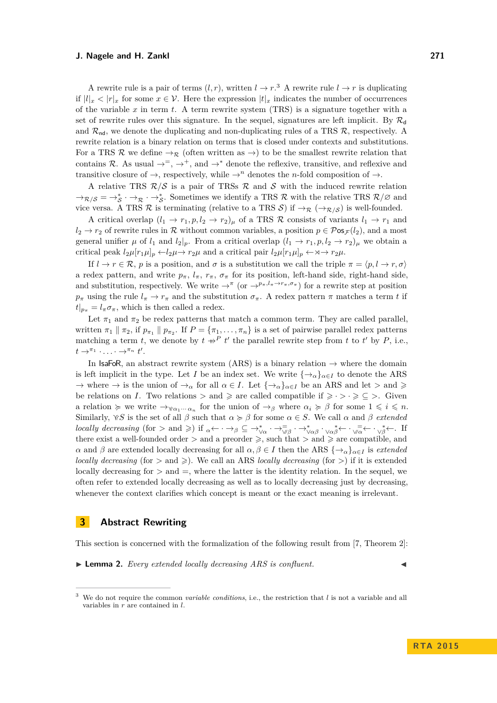A rewrite rule is a pair of terms  $(l, r)$ , written  $l \to r$ .<sup>[3](#page-2-1)</sup> A rewrite rule  $l \to r$  is duplicating if  $|l|_x < |r|_x$  for some  $x \in \mathcal{V}$ . Here the expression  $|t|_x$  indicates the number of occurrences of the variable *x* in term *t*. A term rewrite system (TRS) is a signature together with a set of rewrite rules over this signature. In the sequel, signatures are left implicit. By  $\mathcal{R}_{d}$ and  $\mathcal{R}_{nd}$ , we denote the duplicating and non-duplicating rules of a TRS  $\mathcal{R}$ , respectively. A rewrite relation is a binary relation on terms that is closed under contexts and substitutions. For a TRS R we define  $\rightarrow_{\mathcal{R}}$  (often written as  $\rightarrow$ ) to be the smallest rewrite relation that contains R. As usual  $\rightarrow^=$ ,  $\rightarrow^+$ , and  $\rightarrow^*$  denote the reflexive, transitive, and reflexive and transitive closure of  $\rightarrow$ , respectively, while  $\rightarrow$ <sup>*n*</sup> denotes the *n*-fold composition of  $\rightarrow$ .

A relative TRS  $R/S$  is a pair of TRSs R and S with the induced rewrite relation  $\rightarrow_{\mathcal{R}}/s = \rightarrow_{\mathcal{S}}^* \rightarrow_{\mathcal{R}} \rightarrow_{\mathcal{S}}^*$ . Sometimes we identify a TRS R with the relative TRS  $\mathcal{R}/\varnothing$  and vice versa. A TRS  $\mathcal R$  is terminating (relative to a TRS  $\mathcal S$ ) if  $\to_{\mathcal R} (\to_{\mathcal R/S})$  is well-founded.

A critical overlap  $(l_1 \rightarrow r_1, p, l_2 \rightarrow r_2)_{\mu}$  of a TRS R consists of variants  $l_1 \rightarrow r_1$  and  $l_2 \rightarrow r_2$  of rewrite rules in R without common variables, a position  $p \in \mathcal{P}$ os<sub>F</sub> $(l_2)$ , and a most general unifier  $\mu$  of  $l_1$  and  $l_2|_p$ . From a critical overlap  $(l_1 \rightarrow r_1, p, l_2 \rightarrow r_2)_{\mu}$  we obtain a critical peak  $l_2\mu[r_1\mu]_p \leftarrow l_2\mu \rightarrow r_2\mu$  and a critical pair  $l_2\mu[r_1\mu]_p \leftarrow \mathbf{x} \rightarrow r_2\mu$ .

If  $l \to r \in \mathcal{R}$ , *p* is a position, and *σ* is a substitution we call the triple  $\pi = \langle p, l \to r, \sigma \rangle$ a redex pattern, and write  $p_{\pi}$ ,  $l_{\pi}$ ,  $r_{\pi}$ ,  $\sigma_{\pi}$  for its position, left-hand side, right-hand side, and substitution, respectively. We write  $\rightarrow^{\pi}$  (or  $\rightarrow^{p_{\pi},l_{\pi}\rightarrow r_{\pi},\sigma_{\pi}}$ ) for a rewrite step at position  $p_{\pi}$  using the rule  $l_{\pi} \to r_{\pi}$  and the substitution  $\sigma_{\pi}$ . A redex pattern  $\pi$  matches a term *t* if  $t|_{p_{\pi}} = l_{\pi} \sigma_{\pi}$ , which is then called a redex.

Let  $\pi_1$  and  $\pi_2$  be redex patterns that match a common term. They are called parallel, written  $\pi_1 \parallel \pi_2$ , if  $p_{\pi_1} \parallel p_{\pi_2}$ . If  $P = {\pi_1, \ldots, \pi_n}$  is a set of pairwise parallel redex patterns matching a term *t*, we denote by  $t \#^P t'$  the parallel rewrite step from *t* to *t'* by *P*, i.e.,  $t \rightarrow^{\pi_1} \cdots \rightarrow^{\pi_n} t'$ .

In IsaFoR, an abstract rewrite system (ARS) is a binary relation  $\rightarrow$  where the domain is left implicit in the type. Let *I* be an index set. We write  $\{\rightarrow_{\alpha}\}_{{\alpha}\in I}$  to denote the ARS  $\rightarrow$  where  $\rightarrow$  is the union of  $\rightarrow_{\alpha}$  for all  $\alpha \in I$ . Let  $\{\rightarrow_{\alpha}\}_{{\alpha \in I}}$  be an ARS and let  $>$  and  $\geq$ be relations on *I*. Two relations  $>$  and  $\geq$  are called compatible if  $\geq$   $\cdot$   $>$   $\cdot \geq$   $\subseteq$   $>$ . Given a relation  $\succcurlyeq$  we write  $\rightarrow_{\gamma_{\alpha_1} \cdots \alpha_n}$  for the union of  $\rightarrow_{\beta}$  where  $\alpha_i \succcurlyeq \beta$  for some  $1 \leqslant i \leqslant n$ . Similarly,  $\gamma S$  is the set of all  $\beta$  such that  $\alpha \geq \beta$  for some  $\alpha \in S$ . We call  $\alpha$  and  $\beta$  *extended locally decreasing* (for  $>$  and  $\geqslant$ ) if  $\alpha \leftarrow \cdot \rightarrow \beta \subseteq \rightarrow_{\vee \alpha}^{*} \cdot \rightarrow_{\vee \beta}^{\equiv} \cdot \rightarrow_{\vee \alpha \beta}^{*} \cdot \vee_{\alpha \beta}^{\equiv} \leftarrow \cdot \sqrt{\alpha} \leftarrow \cdot \sqrt{\beta} \leftarrow$ . If there exist a well-founded order  $>$  and a preorder  $\geq$ , such that  $>$  and  $\geq$  are compatible, and *α* and *β* are extended locally decreasing for all *α, β* ∈ *I* then the ARS { $\rightarrow$ <sup>*α*</sup><sub>*α*</sub>}*α*∈*I* is *extended locally decreasing* (for  $>$  and  $\geq$ ). We call an ARS *locally decreasing* (for  $>$ ) if it is extended locally decreasing for  $>$  and  $=$ , where the latter is the identity relation. In the sequel, we often refer to extended locally decreasing as well as to locally decreasing just by decreasing, whenever the context clarifies which concept is meant or the exact meaning is irrelevant.

## <span id="page-2-0"></span>**3 Abstract Rewriting**

This section is concerned with the formalization of the following result from [\[7,](#page-14-1) Theorem 2]:

<span id="page-2-2"></span> $\blacktriangleright$  **Lemma 2.** *Every extended locally decreasing ARS is confluent.* 

<span id="page-2-1"></span><sup>3</sup> We do not require the common *variable conditions*, i.e., the restriction that *l* is not a variable and all variables in *r* are contained in *l*.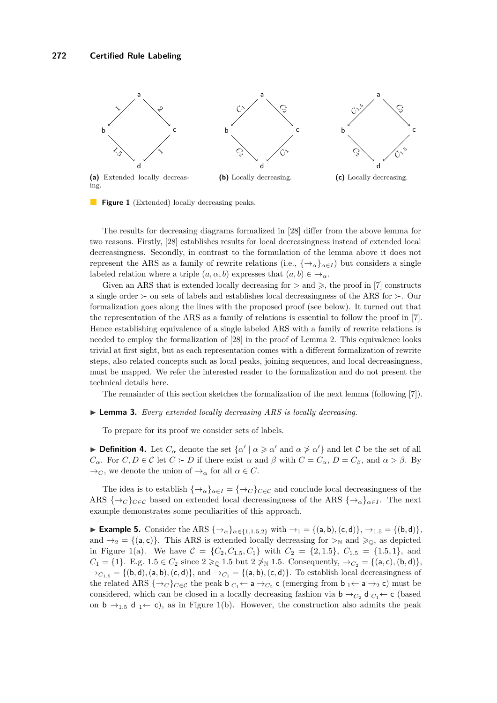<span id="page-3-1"></span><span id="page-3-0"></span>

<span id="page-3-3"></span><span id="page-3-2"></span>**Figure 1** (Extended) locally decreasing peaks.

The results for decreasing diagrams formalized in [\[28\]](#page-15-1) differ from the above lemma for two reasons. Firstly, [\[28\]](#page-15-1) establishes results for local decreasingness instead of extended local decreasingness. Secondly, in contrast to the formulation of the lemma above it does not represent the ARS as a family of rewrite relations (i.e.,  $\{\rightarrow_{\alpha}\}_{{\alpha}\in I}$ ) but considers a single labeled relation where a triple  $(a, \alpha, b)$  expresses that  $(a, b) \in \rightarrow_{\alpha}$ .

Given an ARS that is extended locally decreasing for  $>$  and  $\geq$ , the proof in [\[7\]](#page-14-1) constructs a single order  $\succ$  on sets of labels and establishes local decreasingness of the ARS for  $\succ$ . Our formalization goes along the lines with the proposed proof (see below). It turned out that the representation of the ARS as a family of relations is essential to follow the proof in [\[7\]](#page-14-1). Hence establishing equivalence of a single labeled ARS with a family of rewrite relations is needed to employ the formalization of [\[28\]](#page-15-1) in the proof of Lemma [2.](#page-2-2) This equivalence looks trivial at first sight, but as each representation comes with a different formalization of rewrite steps, also related concepts such as local peaks, joining sequences, and local decreasingness, must be mapped. We refer the interested reader to the formalization and do not present the technical details here.

The remainder of this section sketches the formalization of the next lemma (following [\[7\]](#page-14-1)).

#### <span id="page-3-4"></span>▶ **Lemma 3.** *Every extended locally decreasing ARS is locally decreasing.*

To prepare for its proof we consider sets of labels.

**Definition 4.** Let  $C_{\alpha}$  denote the set  $\{\alpha' \mid \alpha \geq \alpha' \text{ and } \alpha \geq \alpha'\}$  and let C be the set of all *C*<sub>α</sub>. For *C*, *D*  $\in$  *C* let *C*  $\succ$  *D* if there exist  $\alpha$  and  $\beta$  with  $C = C_{\alpha}$ ,  $D = C_{\beta}$ , and  $\alpha > \beta$ . By  $\rightarrow_C$ , we denote the union of  $\rightarrow_\alpha$  for all  $\alpha \in C$ .

The idea is to establish  $\{\rightarrow_{\alpha}\}_{{\alpha}\in I} = {\{\rightarrow_{C}\}_{{C}\in\mathcal{C}}}$  and conclude local decreasingness of the ARS  $\{\rightarrow_C\}_{C \in \mathcal{C}}$  based on extended local decreasingness of the ARS  $\{\rightarrow_\alpha\}_{\alpha \in I}$ . The next example demonstrates some peculiarities of this approach.

<span id="page-3-5"></span>► **Example 5.** Consider the ARS  $\{\rightarrow_{\alpha}\}_{{\alpha}\in\{1,1.5,2\}}$  with  $\rightarrow_1$  = {(a, b), (c, d)},  $\rightarrow_{1.5}$  = {(b, d)}, and  $\rightarrow_2$  = {(a, c)}. This ARS is extended locally decreasing for  $\rightarrow_N$  and  $\geq_0$ , as depicted in Figure [1](#page-3-0)[\(a\).](#page-3-1) We have  $C = \{C_2, C_{1.5}, C_1\}$  with  $C_2 = \{2, 1.5\}$ ,  $C_{1.5} = \{1.5, 1\}$ , and *C*<sub>1</sub> = {1}. E.g. 1.5  $\in C_2$  since  $2 \geq 0$  1.5 but  $2 \not\geq N$  1.5. Consequently,  $\rightarrow_{C_2} = \{(a, c), (b, d)\},$  $\rightarrow$ *C*<sub>1</sub><sub>.5</sub> = {(b,d), (a, b), (c,d)}, and  $\rightarrow$ *C*<sub>1</sub> = {(a, b), (c,d)}. To establish local decreasingness of the related ARS  $\{\rightarrow_C\}_{C\in\mathcal{C}}$  the peak  $\mathsf{b}_{C_1} \leftarrow \mathsf{a} \rightarrow_{C_2} \mathsf{c}$  (emerging from  $\mathsf{b}_1 \leftarrow \mathsf{a} \rightarrow_2 \mathsf{c}$ ) must be considered, which can be closed in a locally decreasing fashion via  $\mathbf{b} \rightarrow C_2$  d  $C_1 \leftarrow \mathbf{c}$  (based on  $b \rightarrow_{1.5} d_1 \leftarrow c$ , as in Figure [1](#page-3-0)[\(b\).](#page-3-2) However, the construction also admits the peak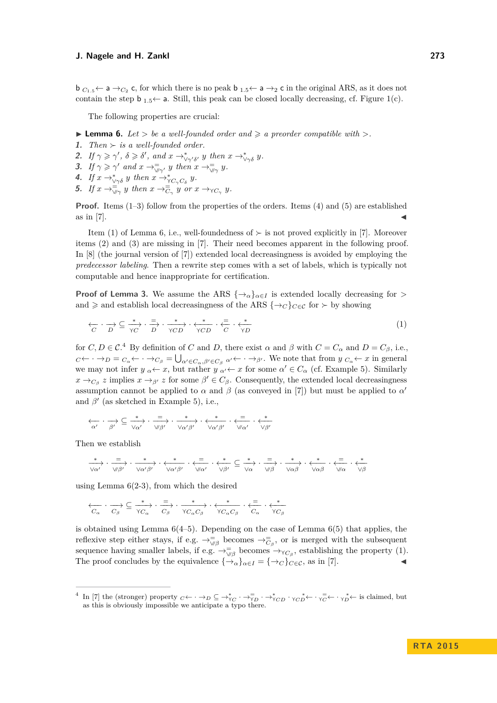$\mathsf{b}_{C_1,5} \leftarrow \mathsf{a} \rightarrow_{C_2} \mathsf{c}$ , for which there is no peak  $\mathsf{b}_{1.5} \leftarrow \mathsf{a} \rightarrow_2 \mathsf{c}$  in the original ARS, as it does not contain the step  $\mathbf{b}_{1.5} \leftarrow \mathbf{a}$ . Still, this peak can be closed locally decreasing, cf. Figure [1](#page-3-0)[\(c\).](#page-3-3)

The following properties are crucial:

<span id="page-4-4"></span> $\blacktriangleright$  **Lemma 6.** *Let*  $>$  *be a well-founded order and*  $\ge a$  *preorder compatible with*  $>$ *.* 

- <span id="page-4-0"></span>**1.** *Then*  $\succ$  *is a well-founded order.*
- <span id="page-4-5"></span>**2.** If  $\gamma \geq \gamma'$ ,  $\delta \geq \delta'$ , and  $x \to^*_{\sqrt{\gamma'}\delta'} y$  then  $x \to^*_{\sqrt{\gamma'}\delta} y$ .
- <span id="page-4-1"></span>**3.** *If*  $\gamma \geq \gamma'$  *and*  $x \to \overline{\gamma_{\gamma\gamma'}}$  *y then*  $x \to \overline{\gamma_{\gamma\gamma'}}$  *y*.
- <span id="page-4-2"></span>**4.** If  $x \rightarrow_{\forall \gamma \delta}^* y$  then  $x \rightarrow_{\forall C_{\gamma} C_{\delta}}^* y$ .
- <span id="page-4-3"></span>**5.** If  $x \to \overline{\forall y}$  *y* then  $x \to \overline{\vec{C}}$  *y* or  $x \to \vec{C}$  *y*.

**Proof.** Items [\(1](#page-4-0)[–3\)](#page-4-1) follow from the properties of the orders. Items [\(4\)](#page-4-2) and [\(5\)](#page-4-3) are established as in [\[7\]](#page-14-1).

Item [\(1\)](#page-4-0) of Lemma [6,](#page-4-4) i.e., well-foundedness of  $\succ$  is not proved explicitly in [\[7\]](#page-14-1). Moreover items [\(2\)](#page-4-5) and [\(3\)](#page-4-1) are missing in [\[7\]](#page-14-1). Their need becomes apparent in the following proof. In [\[8\]](#page-14-2) (the journal version of [\[7\]](#page-14-1)) extended local decreasingness is avoided by employing the *predecessor labeling*. Then a rewrite step comes with a set of labels, which is typically not computable and hence inappropriate for certification.

**Proof of Lemma [3.](#page-3-4)** We assume the ARS  $\{\rightarrow_{\alpha}\}_{{\alpha}\in I}$  is extended locally decreasing for *>* and  $\geq$  and establish local decreasingness of the ARS  $\{\rightarrow_C\}_{C\in\mathcal{C}}$  for  $\succ$  by showing

<span id="page-4-7"></span>
$$
\begin{array}{ccc}\n\leftarrow & \rightarrow & \subseteq & \xrightarrow{*} & \cdot & \xrightarrow{=} & \cdot & \xrightarrow{*} & \cdot & \xleftarrow{*} & \cdot & \xrightarrow{=} & \cdot & \xleftarrow{*} \\
\hline\nC & D & \searrow C & D & \searrow C & \searrow C & \searrow D & \searrow C & \searrow D\n\end{array} \tag{1}
$$

for  $C, D \in \mathcal{C}^4$  $C, D \in \mathcal{C}^4$  By definition of *C* and *D*, there exist  $\alpha$  and  $\beta$  with  $C = C_{\alpha}$  and  $D = C_{\beta}$ , i.e.,  $C \leftarrow \cdots \rightarrow D = C_{\alpha} \leftarrow \cdots \rightarrow C_{\beta} = \bigcup_{\alpha' \in C_{\alpha}, \beta' \in C_{\beta}} \alpha' \leftarrow \cdots \rightarrow \beta'$ . We note that from  $y \nvert C_{\alpha} \leftarrow x$  in general we may not infer  $y_\alpha \leftarrow x$ , but rather  $y_\alpha \leftarrow x$  for some  $\alpha' \in C_\alpha$  (cf. Example [5\)](#page-3-5). Similarly  $x \to_{C_\beta} z$  implies  $x \to_{\beta'} z$  for some  $\beta' \in C_\beta$ . Consequently, the extended local decreasingness assumption cannot be applied to  $\alpha$  and  $\beta$  (as conveyed in [\[7\]](#page-14-1)) but must be applied to  $\alpha'$ and  $\beta'$  (as sketched in Example [5\)](#page-3-5), i.e.,

$$
\underset{\alpha'}{\longleftarrow} \cdot \underset{\beta'}{\longrightarrow} \subseteq \underset{\forall \alpha'}{\overset{*}{\longrightarrow}} \cdot \underset{\forall \beta'}{\overset{=}{\longrightarrow}} \cdot \underset{\forall \alpha' \beta'}{\overset{*}{\longrightarrow}} \cdot \underset{\forall \alpha' \beta'}{\overset{*}{\longleftarrow}} \cdot \underset{\forall \alpha'}{\overset{=}{\longleftarrow}} \cdot \underset{\forall \beta'}{\overset{*}{\longleftarrow}}
$$

Then we establish

$$
\xrightarrow[\forall\alpha']{\quad \ \ } \cdots \xrightarrow[\forall\beta']{\quad \ \ } \cdots \xrightarrow[\forall\alpha']{\quad \ \ } \cdots \xrightarrow[\forall\alpha']{\quad \ \ } \cdots \xrightarrow[\forall\alpha']{\quad \ \ } \cdots \xrightarrow[\forall\beta']{\quad \ \ } \cdots \xrightarrow[\forall\beta']{\quad \ \ } \cdots \xrightarrow[\forall\alpha]\beta \quad \ \ \cdots \xrightarrow[\forall\alpha]\beta \quad \ \ \cdots \xrightarrow[\forall\alpha]\beta \quad \ \ \cdots \xrightarrow[\forall\alpha]\beta \quad \ \ \cdots \xrightarrow[\forall\alpha]\beta \quad \ \ \cdots \xrightarrow[\forall\alpha]\beta \quad \ \cdots \xrightarrow[\forall\alpha]\beta \quad \ \cdots \xrightarrow[\forall\alpha]\beta \quad \ \cdots \xrightarrow[\forall\alpha]\beta \quad \ \cdots \xrightarrow[\forall\alpha]\beta \quad \ \cdots \xrightarrow[\forall\alpha]\beta \quad \ \cdots \xrightarrow[\forall\alpha]\beta \quad \ \cdots \xrightarrow[\forall\alpha]\beta \quad \ \cdots \xrightarrow[\forall\alpha]\beta \quad \ \cdots \xrightarrow[\forall\alpha]\beta \quad \ \cdots \xrightarrow[\forall\alpha]\beta \quad \ \cdots \xrightarrow[\forall\alpha]\beta \quad \ \cdots \xrightarrow[\forall\alpha]\beta \quad \ \cdots \xrightarrow[\forall\alpha]\beta \quad \ \cdots \xrightarrow[\forall\alpha]\beta \quad \ \cdots \xrightarrow[\forall\alpha]\beta \quad \ \cdots \xrightarrow[\forall\alpha]\beta \quad \ \cdots \xrightarrow[\forall\alpha]\beta \quad \ \cdots \xrightarrow[\forall\alpha]\beta \quad \ \cdots \xrightarrow[\forall\alpha]\beta \quad \ \cdots \xrightarrow[\forall\alpha]\beta \quad \ \cdots \xrightarrow[\forall\alpha]\beta \quad \ \cdots \xrightarrow[\forall\alpha]\beta \quad \ \cdots \xrightarrow[\forall\alpha]\beta \quad \ \cdots \xrightarrow[\forall\alpha]\beta \quad \ \cdots \xrightarrow[\forall\alpha]\beta \quad \ \cdots \xrightarrow[\forall\alpha]\beta \quad \ \cdots \xrightarrow[\forall\alpha]\beta \quad \ \cdots \xrightarrow[\forall\alpha]\beta \quad \ \cdots \xrightarrow[\forall\alpha]\beta \quad \ \cdots \xrightarrow[\forall\alpha]\beta \quad \ \cdots \xrightarrow[\forall\alpha]\beta \quad \ \cdots \xrightarrow[\forall\alpha]\beta \quad \ \cdots \xrightarrow[\forall\alpha]\beta \quad \ \cdots
$$

using Lemma  $6(2-3)$  $6(2-3)$  $6(2-3)$ , from which the desired

$$
\overleftarrow{C_{\alpha}} \cdot \overrightarrow{C_{\beta}} \subseteq \overrightarrow{+}_{\textit{TC}_{\alpha}} \cdot \overrightarrow{C_{\beta}} \cdot \overrightarrow{+}_{\textit{TC}_{\alpha}C_{\beta}} \cdot \overleftarrow{+}_{\textit{TC}_{\alpha}C_{\beta}} \cdot \overleftarrow{+}_{\textit{C}_{\alpha}} \cdot \overleftarrow{+}_{\textit{TC}_{\beta}}
$$

is obtained using Lemma  $6(4-5)$  $6(4-5)$ . Depending on the case of Lemma  $6(5)$  $6(5)$  that applies, the reflexive step either stays, if e.g.  $\rightarrow_{\vee\beta}^{\equiv}$  becomes  $\rightarrow_{\overline{C}_{\beta}}^{\equiv}$ , or is merged with the subsequent sequence having smaller labels, if e.g.  $\rightarrow_{\forall\beta}^{\equiv}$  becomes  $\rightarrow_{\gamma C_{\beta}}$ , establishing the property [\(1\)](#page-4-7). The proof concludes by the equivalence  $\{\rightarrow_{\alpha}\}_{{\alpha}\in I} = \{\rightarrow_C\}_{{C}\in {\mathcal{C}}}$ , as in [\[7\]](#page-14-1).

<span id="page-4-6"></span><sup>&</sup>lt;sup>4</sup> In [\[7\]](#page-14-1) the (stronger) property  $C \leftarrow \cdot \rightarrow_D \subseteq \rightarrow_{\gamma_C}^* \cdot \rightarrow_{\gamma_D}^= \cdot \rightarrow_{\gamma CD}^* \cdot \gamma_C^* \leftarrow \cdot \gamma_C^* \leftarrow \cdot \gamma_D^* \leftarrow$  is claimed, but as this is obviously impossible we anticipate a typo there.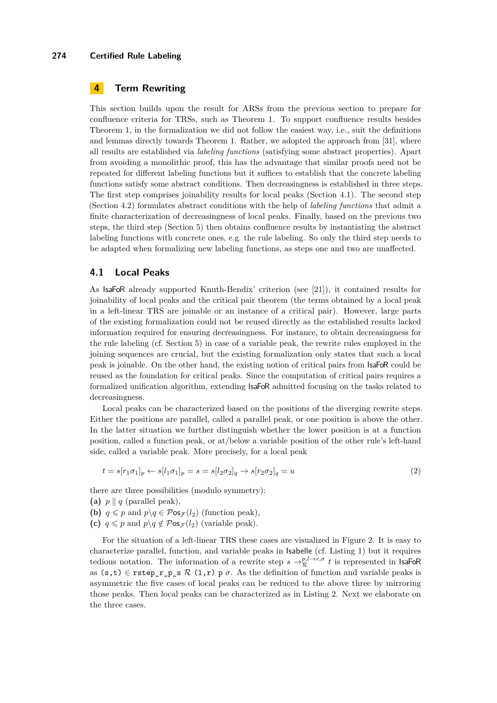# <span id="page-5-0"></span>**4 Term Rewriting**

This section builds upon the result for ARSs from the previous section to prepare for confluence criteria for TRSs, such as Theorem [1.](#page-0-1) To support confluence results besides Theorem [1,](#page-0-1) in the formalization we did not follow the easiest way, i.e., suit the definitions and lemmas directly towards Theorem [1.](#page-0-1) Rather, we adopted the approach from [\[31\]](#page-15-3), where all results are established via *labeling functions* (satisfying some abstract properties). Apart from avoiding a monolithic proof, this has the advantage that similar proofs need not be repeated for different labeling functions but it suffices to establish that the concrete labeling functions satisfy some abstract conditions. Then decreasingness is established in three steps. The first step comprises joinability results for local peaks (Section [4.1\)](#page-5-1). The second step (Section [4.2\)](#page-8-0) formulates abstract conditions with the help of *labeling functions* that admit a finite characterization of decreasingness of local peaks. Finally, based on the previous two steps, the third step (Section [5\)](#page-9-0) then obtains confluence results by instantiating the abstract labeling functions with concrete ones, e.g. the rule labeling. So only the third step needs to be adapted when formalizing new labeling functions, as steps one and two are unaffected.

# <span id="page-5-1"></span>**4.1 Local Peaks**

As IsaFoR already supported Knuth-Bendix' criterion (see [\[21\]](#page-15-9)), it contained results for joinability of local peaks and the critical pair theorem (the terms obtained by a local peak in a left-linear TRS are joinable or an instance of a critical pair). However, large parts of the existing formalization could not be reused directly as the established results lacked information required for ensuring decreasingness. For instance, to obtain decreasingness for the rule labeling (cf. Section [5\)](#page-9-0) in case of a variable peak, the rewrite rules employed in the joining sequences are crucial, but the existing formalization only states that such a local peak is joinable. On the other hand, the existing notion of critical pairs from IsaFoR could be reused as the foundation for critical peaks. Since the computation of critical pairs requires a formalized unification algorithm, extending IsaFoR admitted focusing on the tasks related to decreasingness.

Local peaks can be characterized based on the positions of the diverging rewrite steps. Either the positions are parallel, called a parallel peak, or one position is above the other. In the latter situation we further distinguish whether the lower position is at a function position, called a function peak, or at/below a variable position of the other rule's left-hand side, called a variable peak. More precisely, for a local peak

$$
t = s[r_1 \sigma_1]_p \leftarrow s[l_1 \sigma_1]_p = s = s[l_2 \sigma_2]_q \rightarrow s[r_2 \sigma_2]_q = u \tag{2}
$$

there are three possibilities (modulo symmetry):

- [\(a\)](#page-6-0)  $p \parallel q$  (parallel peak),
- **[\(b\)](#page-6-1)**  $q \leq p$  and  $p \mid q \in \mathcal{P}$ os<sub> $\mathcal{F}(l_2)$ </sub> (function peak),
- **[\(c\)](#page-6-2)**  $q \leq p$  and  $p \mid q \notin \mathcal{P}$ os $\mathcal{F}(l_2)$  (variable peak).

For the situation of a left-linear TRS these cases are visualized in Figure [2.](#page-6-3) It is easy to characterize parallel, function, and variable peaks in Isabelle (cf. Listing [1\)](#page-6-4) but it requires tedious notation. The information of a rewrite step  $s \to_{\mathcal{R}}^{p,l \to r,\sigma} t$  is represented in IsaFoR as  $(s,t) \in \text{rstep}_r_p_s \mathcal{R}(1,r)$  p  $\sigma$ . As the definition of function and variable peaks is asymmetric the five cases of local peaks can be reduced to the above three by mirroring those peaks. Then local peaks can be characterized as in Listing [2.](#page-6-5) Next we elaborate on the three cases.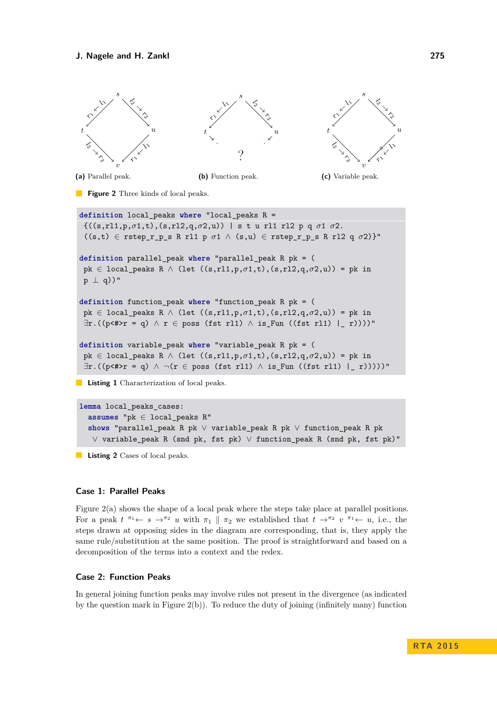<span id="page-6-4"></span><span id="page-6-3"></span><span id="page-6-2"></span><span id="page-6-1"></span><span id="page-6-0"></span>

**Listing 1** Characterization of local peaks.

<span id="page-6-5"></span>**lemma** local\_peaks\_cases: **assumes** "pk ∈ local\_peaks R" **shows** "parallel\_peak R pk ∨ variable\_peak R pk ∨ function\_peak R pk ∨ variable\_peak R (snd pk, fst pk) ∨ function\_peak R (snd pk, fst pk)"

**Listing 2** Cases of local peaks.

#### **Case 1: Parallel Peaks**

Figure [2](#page-6-3)[\(a\)](#page-6-0) shows the shape of a local peak where the steps take place at parallel positions. For a peak  $t^{\pi_1} \leftarrow s \rightarrow^{\pi_2} u$  with  $\pi_1 \parallel \pi_2$  we established that  $t \rightarrow^{\pi_2} v^{\pi_1} \leftarrow u$ , i.e., the steps drawn at opposing sides in the diagram are corresponding, that is, they apply the same rule/substitution at the same position. The proof is straightforward and based on a decomposition of the terms into a context and the redex.

#### **Case 2: Function Peaks**

In general joining function peaks may involve rules not present in the divergence (as indicated by the question mark in Figure  $2(b)$ ). To reduce the duty of joining (infinitely many) function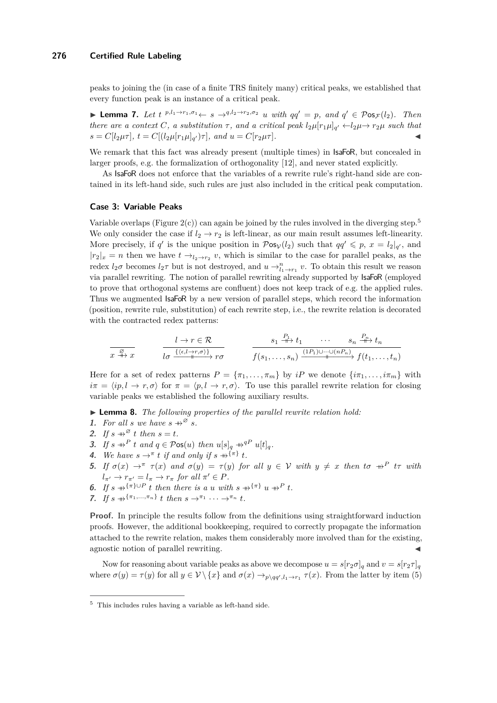peaks to joining the (in case of a finite TRS finitely many) critical peaks, we established that every function peak is an instance of a critical peak.

<span id="page-7-1"></span>► **Lemma 7.** Let  $t^{p,l_1\rightarrow r_1,\sigma_1} \leftarrow s \rightarrow q, l_2\rightarrow r_2,\sigma_2$  *u with*  $qq' = p$ *, and*  $q' \in \mathcal{P}$ os<sub> $\mathcal{F}(l_2)$ *. Then*</sub> *there are a context C*, a substitution  $\tau$ , and a critical peak  $l_2\mu[r_1\mu]_{q'} \leftarrow l_2\mu \rightarrow r_2\mu$  such that  $s = C[l_2 \mu \tau], t = C[(l_2 \mu [r_1 \mu]_{q'}) \tau], and t = C[r_2 \mu \tau].$ 

We remark that this fact was already present (multiple times) in  $IsaFoR$ , but concealed in larger proofs, e.g. the formalization of orthogonality [\[12\]](#page-14-3), and never stated explicitly.

As IsaFoR does not enforce that the variables of a rewrite rule's right-hand side are contained in its left-hand side, such rules are just also included in the critical peak computation.

#### **Case 3: Variable Peaks**

Variable overlaps (Figure  $2(c)$ ) can again be joined by the rules involved in the diverging step.<sup>[5](#page-7-0)</sup> We only consider the case if  $l_2 \rightarrow r_2$  is left-linear, as our main result assumes left-linearity. More precisely, if *q*' is the unique position in  $\mathcal{P}os_{\mathcal{V}}(l_2)$  such that  $qq' \leq p$ ,  $x = l_2|_{q'}$ , and  $|r_2|_x = n$  then we have  $t \to_{l_2 \to r_2} v$ , which is similar to the case for parallel peaks, as the redex  $l_2\sigma$  becomes  $l_2\tau$  but is not destroyed, and  $u \to_{l_1 \to r_1}^n v$ . To obtain this result we reason via parallel rewriting. The notion of parallel rewriting already supported by IsaFoR (employed to prove that orthogonal systems are confluent) does not keep track of e.g. the applied rules. Thus we augmented IsaFoR by a new version of parallel steps, which record the information (position, rewrite rule, substitution) of each rewrite step, i.e., the rewrite relation is decorated with the contracted redex patterns:

$$
\frac{l \to r \in \mathcal{R}}{x \xrightarrow{\beta} x} \qquad \frac{l \to r \in \mathcal{R}}{l \sigma \xrightarrow{\{ \langle \epsilon, l \to r, \sigma \rangle \}} r \sigma} \qquad \frac{s_1 \xrightarrow{\mu_1} t_1 \cdots \xrightarrow{s_n \xrightarrow{\mu_n} t_n}}{f(s_1, \ldots, s_n) \xrightarrow{(1P_1) \cup \cdots \cup (nP_n)} f(t_1, \ldots, t_n)}
$$

Here for a set of redex patterns  $P = {\pi_1, \ldots, \pi_m}$  by *iP* we denote  ${\{\iota \pi_1, \ldots, \iota \pi_m\}}$  with  $i\pi = \langle ip, l \to r, \sigma \rangle$  for  $\pi = \langle p, l \to r, \sigma \rangle$ . To use this parallel rewrite relation for closing variable peaks we established the following auxiliary results.

▶ **Lemma 8.** *The following properties of the parallel rewrite relation hold:* 

- **1.** For all *s* we have  $s \nrightarrow^{\emptyset} s$ .
- **2.** *If*  $s \rightarrow^{\infty} t$  *then*  $s = t$ *.*
- **3.** *If*  $s \nrightarrow{P} t$  *and*  $q \in \mathcal{P}$ **os** $(u)$  *then*  $u[s]_q \nrightarrow{q} q^P$   $u[t]_q$ .
- **4.** We have  $s \rightarrow^{\pi} t$  if and only if  $s \rightarrow^{\pi} t$ .
- 5. If  $\sigma(x) \to^{\pi} \tau(x)$  and  $\sigma(y) = \tau(y)$  for all  $y \in V$  with  $y \neq x$  then to  $\pi P$  tr with  $l_{\pi'} \to r_{\pi'} = l_{\pi} \to r_{\pi}$  for all  $\pi' \in P$ .
- **6.** If  $s \rightarrow^{\{\pi\}\cup P} t$  then there is a *u* with  $s \rightarrow^{\{\pi\}} u \rightarrow^P t$ .
- **7.** *If*  $s \rightarrow^{\pi_1} \cdots \cdots \cdots \cdots \cdots \cdots$ *t t then*  $s \rightarrow^{\pi_1} \cdots \rightarrow^{\pi_n} t$ .

**Proof.** In principle the results follow from the definitions using straightforward induction proofs. However, the additional bookkeeping, required to correctly propagate the information attached to the rewrite relation, makes them considerably more involved than for the existing, agnostic notion of parallel rewriting.

Now for reasoning about variable peaks as above we decompose  $u = s[r_2\sigma]_q$  and  $v = s[r_2\tau]_q$ where  $\sigma(y) = \tau(y)$  for all  $y \in \mathcal{V} \setminus \{x\}$  and  $\sigma(x) \to_{p \setminus qq', l_1 \to r_1} \tau(x)$ . From the latter by item (5)

<span id="page-7-0"></span><sup>5</sup> This includes rules having a variable as left-hand side.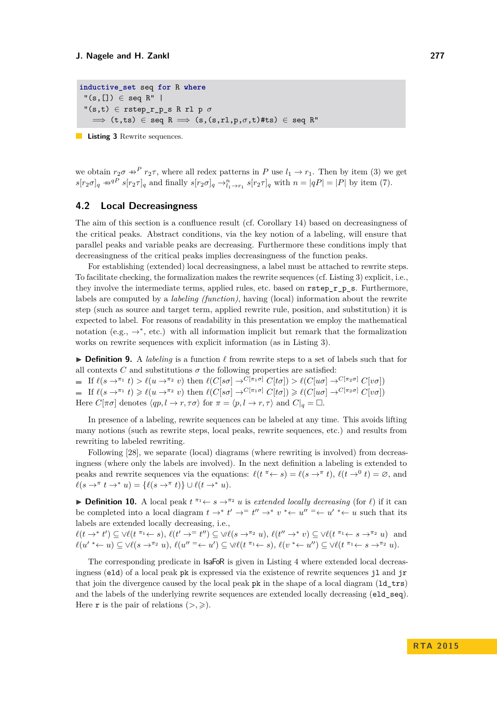```
inductive_set seq for R where
 "(\mathbf{s},[]) \in \text{seq } R""(\mathbf{s}, \mathbf{t}) \in \texttt{rstep_r p_s R r l p}\implies (t,ts) \in seq R \implies (s,(s,rl,p,\sigma,t)#ts) \in seq R"
```
**Listing 3** Rewrite sequences.

we obtain  $r_2\sigma \rightarrow^P r_2\tau$ , where all redex patterns in *P* use  $l_1 \rightarrow r_1$ . Then by item (3) we get  $s[r_2\sigma]_q \twoheadrightarrow^{qP} s[r_2\tau]_q$  and finally  $s[r_2\sigma]_q \rightarrow_{l_1 \rightarrow r_1}^{n} s[r_2\tau]_q$  with  $n = |qP| = |P|$  by item (7).

# <span id="page-8-0"></span>**4.2 Local Decreasingness**

The aim of this section is a confluence result (cf. Corollary [14\)](#page-9-1) based on decreasingness of the critical peaks. Abstract conditions, via the key notion of a labeling, will ensure that parallel peaks and variable peaks are decreasing. Furthermore these conditions imply that decreasingness of the critical peaks implies decreasingness of the function peaks.

For establishing (extended) local decreasingness, a label must be attached to rewrite steps. To facilitate checking, the formalization makes the rewrite sequences (cf. Listing [3\)](#page-8-1) explicit, i.e., they involve the intermediate terms, applied rules, etc. based on  $\mathtt{rstep}\ \mathtt{r}\mathtt{p}\mathtt{s}$ . Furthermore, labels are computed by a *labeling (function)*, having (local) information about the rewrite step (such as source and target term, applied rewrite rule, position, and substitution) it is expected to label. For reasons of readability in this presentation we employ the mathematical notation (e.g.,  $\rightarrow^*$ , etc.) with all information implicit but remark that the formalization works on rewrite sequences with explicit information (as in Listing [3\)](#page-8-1).

<span id="page-8-2"></span>**Definition 9.** A *labeling* is a function  $\ell$  from rewrite steps to a set of labels such that for all contexts *C* and substitutions  $\sigma$  the following properties are satisfied:

 $\blacksquare$  If  $\ell(s \to^{\pi_1} t) > \ell(u \to^{\pi_2} v)$  then  $\ell(C[s\sigma] \to^{C[\pi_1\sigma]} C[t\sigma]) > \ell(C[u\sigma] \to^{C[\pi_2\sigma]} C[v\sigma])$  $\blacksquare$  If  $\ell(s \to^{\pi_1} t) \geq \ell(u \to^{\pi_2} v)$  then  $\ell(C[s\sigma] \to^{C[\pi_1\sigma]} C[t\sigma]) \geq \ell(C[u\sigma] \to^{C[\pi_2\sigma]} C[v\sigma])$ Here  $C[\pi \sigma]$  denotes  $\langle qp, l \to r, \tau \sigma \rangle$  for  $\pi = \langle p, l \to r, \tau \rangle$  and  $C|_{q} = \square$ .

In presence of a labeling, rewrite sequences can be labeled at any time. This avoids lifting many notions (such as rewrite steps, local peaks, rewrite sequences, etc.) and results from rewriting to labeled rewriting.

Following [\[28\]](#page-15-1), we separate (local) diagrams (where rewriting is involved) from decreasingness (where only the labels are involved). In the next definition a labeling is extended to peaks and rewrite sequences via the equations:  $\ell(t \to s) = \ell(s \to^{\pi} t), \ell(t \to^0 t) = \emptyset$ , and  $\ell(s \to^\pi t \to^* u) = {\ell(s \to^\pi t)} \cup \ell(t \to^* u).$ 

**Definition 10.** A local peak  $t^{\pi_1} \leftarrow s \rightarrow^{\pi_2} u$  is *extended locally decreasing* (for  $\ell$ ) if it can be completed into a local diagram  $t \to^* t' \to^* t'' \to^* v^* \leftarrow u'' \to^* u' \leftarrow u$  such that its labels are extended locally decreasing, i.e.,

 $\ell(t \to^* t') \subseteq \forall \ell(t \to s), \ell(t' \to^t t'') \subseteq \forall \ell(s \to^{\pi_2} u), \ell(t'' \to^* v) \subseteq \forall \ell(t \to^* s \to^{\pi_2} u)$  and  $\ell(u'^{*} \leftarrow u) \subseteq \forall \ell(s \rightarrow^{\pi_2} u), \, \ell(u'' \equiv \leftarrow u') \subseteq \forall \ell(t^{\pi_1} \leftarrow s), \, \ell(v^{*} \leftarrow u'') \subseteq \forall \ell(t^{\pi_1} \leftarrow s \rightarrow^{\pi_2} u).$ 

The corresponding predicate in IsaFoR is given in Listing [4](#page-9-2) where extended local decreasingness (eld) of a local peak pk is expressed via the existence of rewrite sequences jl and jr that join the divergence caused by the local peak pk in the shape of a local diagram (1d trs) and the labels of the underlying rewrite sequences are extended locally decreasing ( $e1d$ <sub>seq</sub>). Here **r** is the pair of relations  $(>, \geq).$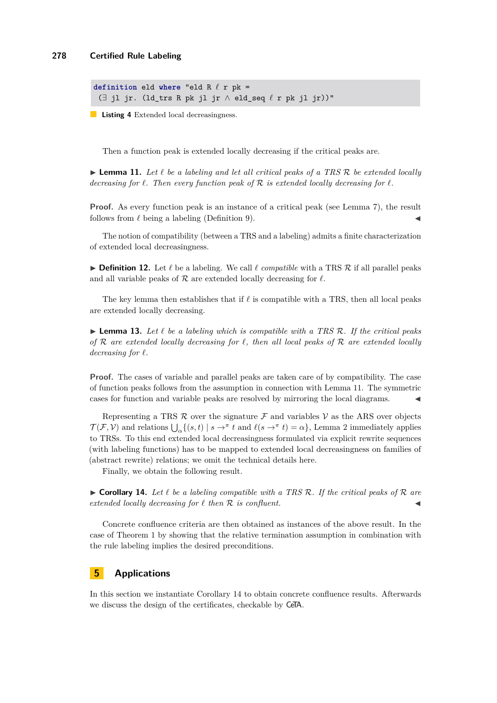```
definition eld where "eld R \ell r pk =
 (∃ jl jr. (ld_trs R pk jl jr ∧ eld_seq ` r pk jl jr))"
```
**Listing 4** Extended local decreasingness.

Then a function peak is extended locally decreasing if the critical peaks are.

<span id="page-9-3"></span> $\triangleright$  **Lemma 11.** Let  $\ell$  be a labeling and let all critical peaks of a TRS  $\mathcal{R}$  be extended locally *decreasing for*  $\ell$ *. Then every function peak of*  $\mathcal{R}$  *is extended locally decreasing for*  $\ell$ *.* 

**Proof.** As every function peak is an instance of a critical peak (see Lemma [7\)](#page-7-1), the result follows from  $\ell$  being a labeling (Definition [9\)](#page-8-2).

The notion of compatibility (between a TRS and a labeling) admits a finite characterization of extended local decreasingness.

 $\triangleright$  **Definition 12.** Let  $\ell$  be a labeling. We call  $\ell$  *compatible* with a TRS  $\mathcal{R}$  if all parallel peaks and all variable peaks of  $R$  are extended locally decreasing for  $\ell$ .

The key lemma then establishes that if  $\ell$  is compatible with a TRS, then all local peaks are extended locally decreasing.

**Lemma 13.** Let  $\ell$  be a labeling which is compatible with a TRS R. If the critical peaks *of* R *are extended locally decreasing for `, then all local peaks of* R *are extended locally*  $decreasing for  $\ell$ .$ 

**Proof.** The cases of variable and parallel peaks are taken care of by compatibility. The case of function peaks follows from the assumption in connection with Lemma [11.](#page-9-3) The symmetric cases for function and variable peaks are resolved by mirroring the local diagrams.

Representing a TRS  $\mathcal R$  over the signature  $\mathcal F$  and variables  $\mathcal V$  as the ARS over objects  $\mathcal{T}(\mathcal{F}, V)$  and relations  $\bigcup_{\alpha} \{ (s, t) \mid s \to^{\pi} t \text{ and } \ell(s \to^{\pi} t) = \alpha \},$  Lemma [2](#page-2-2) immediately applies to TRSs. To this end extended local decreasingness formulated via explicit rewrite sequences (with labeling functions) has to be mapped to extended local decreasingness on families of (abstract rewrite) relations; we omit the technical details here.

Finally, we obtain the following result.

<span id="page-9-1"></span> $\triangleright$  **Corollary 14.** Let  $\ell$  be a labeling compatible with a TRS R. If the critical peaks of R are *extended locally decreasing for*  $\ell$  *then*  $\mathcal R$  *is confluent.* 

Concrete confluence criteria are then obtained as instances of the above result. In the case of Theorem [1](#page-0-1) by showing that the relative termination assumption in combination with the rule labeling implies the desired preconditions.

# <span id="page-9-0"></span>**5 Applications**

In this section we instantiate Corollary [14](#page-9-1) to obtain concrete confluence results. Afterwards we discuss the design of the certificates, checkable by CeTA.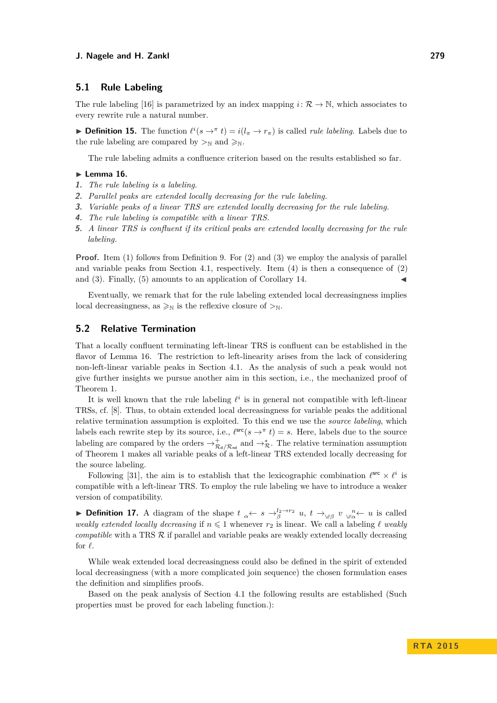# **5.1 Rule Labeling**

The rule labeling [\[16\]](#page-15-10) is parametrized by an index mapping  $i: \mathcal{R} \to \mathbb{N}$ , which associates to every rewrite rule a natural number.

**Definition 15.** The function  $\ell^i(s \to \pi t) = i(l_\pi \to r_\pi)$  is called *rule labeling*. Labels due to the rule labeling are compared by  $>_{\mathbb{N}}$  and  $\geq_{\mathbb{N}}$ .

The rule labeling admits a confluence criterion based on the results established so far.

### <span id="page-10-5"></span> $\blacktriangleright$  Lemma 16.

- <span id="page-10-0"></span>**1.** *The rule labeling is a labeling.*
- <span id="page-10-1"></span>**2.** *Parallel peaks are extended locally decreasing for the rule labeling.*
- <span id="page-10-2"></span>**3.** *Variable peaks of a linear TRS are extended locally decreasing for the rule labeling.*
- <span id="page-10-3"></span>**4.** *The rule labeling is compatible with a linear TRS.*
- <span id="page-10-4"></span>**5.** *A linear TRS is confluent if its critical peaks are extended locally decreasing for the rule labeling.*

**Proof.** Item [\(1\)](#page-10-0) follows from Definition [9.](#page-8-2) For [\(2\)](#page-10-1) and [\(3\)](#page-10-2) we employ the analysis of parallel and variable peaks from Section [4.1,](#page-5-1) respectively. Item [\(4\)](#page-10-3) is then a consequence of [\(2\)](#page-10-1) and  $(3)$ . Finally,  $(5)$  amounts to an application of Corollary [14.](#page-9-1)

Eventually, we remark that for the rule labeling extended local decreasingness implies local decreasingness, as  $\geq_N$  is the reflexive closure of  $\geq_N$ .

# **5.2 Relative Termination**

That a locally confluent terminating left-linear TRS is confluent can be established in the flavor of Lemma [16.](#page-10-5) The restriction to left-linearity arises from the lack of considering non-left-linear variable peaks in Section [4.1.](#page-5-1) As the analysis of such a peak would not give further insights we pursue another aim in this section, i.e., the mechanized proof of Theorem [1.](#page-0-1)

It is well known that the rule labeling  $\ell^i$  is in general not compatible with left-linear TRSs, cf. [\[8\]](#page-14-2). Thus, to obtain extended local decreasingness for variable peaks the additional relative termination assumption is exploited. To this end we use the *source labeling*, which labels each rewrite step by its source, i.e.,  $\ell^{\text{src}}(s \to^{\pi} t) = s$ . Here, labels due to the source labeling are compared by the orders  $\to^+_{\mathcal{R}_d/\mathcal{R}_{\text{nd}}}$  and  $\to^*_{\mathcal{R}}$ . The relative termination assumption of Theorem [1](#page-0-1) makes all variable peaks of a left-linear TRS extended locally decreasing for the source labeling.

Following [\[31\]](#page-15-3), the aim is to establish that the lexicographic combination  $\ell^{\text{src}} \times \ell^i$  is compatible with a left-linear TRS. To employ the rule labeling we have to introduce a weaker version of compatibility.

**Definition 17.** A diagram of the shape  $t_{\alpha} \leftarrow s \rightarrow_{\beta}^{l_2 \rightarrow r_2} u$ ,  $t \rightarrow_{\gamma \beta} v \gamma_{\alpha}^{n} \leftarrow u$  is called *weakly extended locally decreasing* if  $n \leq 1$  whenever  $r_2$  is linear. We call a labeling  $\ell$  *weakly compatible* with a TRS  $R$  if parallel and variable peaks are weakly extended locally decreasing for  $\ell$ .

While weak extended local decreasingness could also be defined in the spirit of extended local decreasingness (with a more complicated join sequence) the chosen formulation eases the definition and simplifies proofs.

Based on the peak analysis of Section [4.1](#page-5-1) the following results are established (Such properties must be proved for each labeling function.):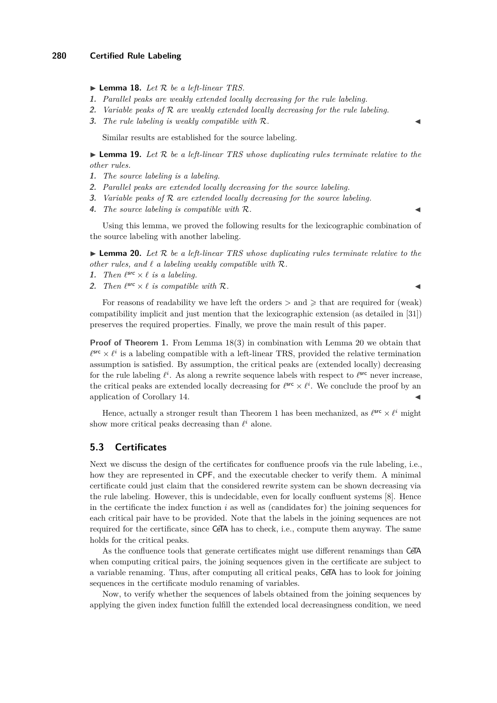<span id="page-11-0"></span> $\blacktriangleright$  **Lemma 18.** *Let*  $\mathcal{R}$  *be a left-linear TRS.* 

- **1.** *Parallel peaks are weakly extended locally decreasing for the rule labeling.*
- **2.** *Variable peaks of* R *are weakly extended locally decreasing for the rule labeling.*
- <span id="page-11-1"></span>**3.** *The rule labeling is weakly compatible with*  $\mathcal{R}$ *.*

Similar results are established for the source labeling.

 $\blacktriangleright$  **Lemma 19.** Let  $\mathcal{R}$  be a left-linear TRS whose duplicating rules terminate relative to the *other rules.*

- **1.** *The source labeling is a labeling.*
- **2.** *Parallel peaks are extended locally decreasing for the source labeling.*
- **3.** *Variable peaks of* R *are extended locally decreasing for the source labeling.*
- **4.** *The source labeling is compatible with*  $\mathcal{R}$ *.*

Using this lemma, we proved the following results for the lexicographic combination of the source labeling with another labeling.

<span id="page-11-2"></span> $\blacktriangleright$  **Lemma 20.** Let  $\mathcal{R}$  be a left-linear TRS whose duplicating rules terminate relative to the *other rules, and*  $\ell$  *a labeling weakly compatible with*  $\mathcal{R}$ *.* 

- **1.** *Then*  $\ell^{src} \times \ell$  *is a labeling.*
- **2.** Then  $\ell^{src} \times \ell$  is compatible with R.

For reasons of readability we have left the orders  $>$  and  $\geq$  that are required for (weak) compatibility implicit and just mention that the lexicographic extension (as detailed in [\[31\]](#page-15-3)) preserves the required properties. Finally, we prove the main result of this paper.

**Proof of Theorem [1.](#page-0-1)** From Lemma [18](#page-11-0)[\(3\)](#page-11-1) in combination with Lemma [20](#page-11-2) we obtain that  $\ell^{\text{src}} \times \ell^i$  is a labeling compatible with a left-linear TRS, provided the relative termination assumption is satisfied. By assumption, the critical peaks are (extended locally) decreasing for the rule labeling  $\ell^i$ . As along a rewrite sequence labels with respect to  $\ell^{\text{src}}$  never increase, the critical peaks are extended locally decreasing for  $\ell^{\text{src}} \times \ell^i$ . We conclude the proof by an application of Corollary [14.](#page-9-1)

Hence, actually a stronger result than Theorem [1](#page-0-1) has been mechanized, as  $\ell^{\text{src}} \times \ell^i$  might show more critical peaks decreasing than  $\ell^i$  alone.

### **5.3 Certificates**

Next we discuss the design of the certificates for confluence proofs via the rule labeling, i.e., how they are represented in CPF, and the executable checker to verify them. A minimal certificate could just claim that the considered rewrite system can be shown decreasing via the rule labeling. However, this is undecidable, even for locally confluent systems [\[8\]](#page-14-2). Hence in the certificate the index function *i* as well as (candidates for) the joining sequences for each critical pair have to be provided. Note that the labels in the joining sequences are not required for the certificate, since CeTA has to check, i.e., compute them anyway. The same holds for the critical peaks.

As the confluence tools that generate certificates might use different renamings than CeTA when computing critical pairs, the joining sequences given in the certificate are subject to a variable renaming. Thus, after computing all critical peaks, CeTA has to look for joining sequences in the certificate modulo renaming of variables.

Now, to verify whether the sequences of labels obtained from the joining sequences by applying the given index function fulfill the extended local decreasingness condition, we need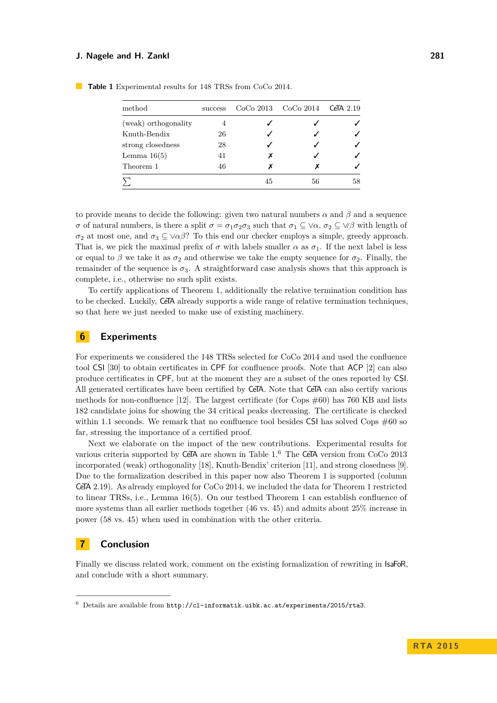| method               | success |    | $CoCo 2013$ $CoCo 2014$ | CeTA $2.19$ |
|----------------------|---------|----|-------------------------|-------------|
| (weak) orthogonality |         |    |                         |             |
| Knuth-Bendix         | 26      |    |                         |             |
| strong closedness    | 28      |    |                         |             |
| Lemma $16(5)$        | 41      |    |                         |             |
| Theorem 1            | 46      |    | х                       |             |
|                      |         | 45 | 56                      | 58          |

<span id="page-12-2"></span>**Table 1** Experimental results for 148 TRSs from CoCo 2014.

to provide means to decide the following: given two natural numbers  $\alpha$  and  $\beta$  and a sequence *σ* of natural numbers, is there a split  $\sigma = \sigma_1 \sigma_2 \sigma_3$  such that  $\sigma_1 \subseteq \forall \alpha, \sigma_2 \subseteq \forall \beta$  with length of  $\sigma_2$  at most one, and  $\sigma_3 \subset \vee \alpha \beta$ ? To this end our checker employs a simple, greedy approach. That is, we pick the maximal prefix of  $\sigma$  with labels smaller  $\alpha$  as  $\sigma_1$ . If the next label is less or equal to  $\beta$  we take it as  $\sigma_2$  and otherwise we take the empty sequence for  $\sigma_2$ . Finally, the remainder of the sequence is  $\sigma_3$ . A straightforward case analysis shows that this approach is complete, i.e., otherwise no such split exists.

To certify applications of Theorem [1,](#page-0-1) additionally the relative termination condition has to be checked. Luckily, CeTA already supports a wide range of relative termination techniques, so that here we just needed to make use of existing machinery.

### <span id="page-12-0"></span>**6 Experiments**

For experiments we considered the 148 TRSs selected for CoCo 2014 and used the confluence tool CSI [\[30\]](#page-15-11) to obtain certificates in CPF for confluence proofs. Note that ACP [\[2\]](#page-14-4) can also produce certificates in CPF, but at the moment they are a subset of the ones reported by CSI. All generated certificates have been certified by CeTA. Note that CeTA can also certify various methods for non-confluence [\[12\]](#page-14-3). The largest certificate (for Cops  $\#60$ ) has 760 KB and lists 182 candidate joins for showing the 34 critical peaks decreasing. The certificate is checked within 1.1 seconds. We remark that no confluence tool besides CSI has solved Cops  $\#60$  so far, stressing the importance of a certified proof.

Next we elaborate on the impact of the new contributions. Experimental results for various criteria supported by CeTA are shown in Table [1.](#page-12-2)[6](#page-12-3) The CeTA version from CoCo 2013 incorporated (weak) orthogonality [\[18\]](#page-15-12), Knuth-Bendix' criterion [\[11\]](#page-14-5), and strong closedness [\[9\]](#page-14-6). Due to the formalization described in this paper now also Theorem [1](#page-0-1) is supported (column CeTA 2.19). As already employed for CoCo 2014, we included the data for Theorem [1](#page-0-1) restricted to linear TRSs, i.e., Lemma [16](#page-10-5)[\(5\)](#page-10-4). On our testbed Theorem [1](#page-0-1) can establish confluence of more systems than all earlier methods together (46 vs. 45) and admits about 25% increase in power (58 vs. 45) when used in combination with the other criteria.

# <span id="page-12-1"></span>**7 Conclusion**

Finally we discuss related work, comment on the existing formalization of rewriting in IsaFoR, and conclude with a short summary.

<span id="page-12-3"></span> $6$  Details are available from <http://cl-informatik.uibk.ac.at/experiments/2015/rta3>.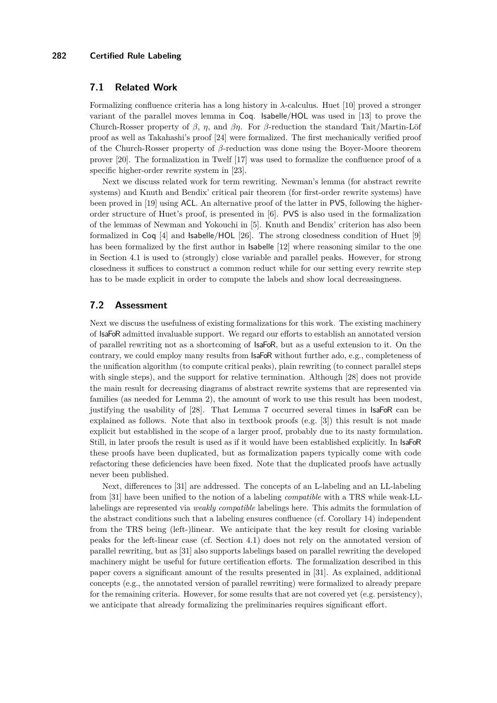## **7.1 Related Work**

Formalizing confluence criteria has a long history in *λ*-calculus. Huet [\[10\]](#page-14-7) proved a stronger variant of the parallel moves lemma in Coq. Isabelle/HOL was used in [\[13\]](#page-14-8) to prove the Church-Rosser property of *β*, *η*, and *βη*. For *β*-reduction the standard Tait/Martin-Löf proof as well as Takahashi's proof [\[24\]](#page-15-13) were formalized. The first mechanically verified proof of the Church-Rosser property of *β*-reduction was done using the Boyer-Moore theorem prover [\[20\]](#page-15-14). The formalization in Twelf [\[17\]](#page-15-15) was used to formalize the confluence proof of a specific higher-order rewrite system in [\[23\]](#page-15-16).

Next we discuss related work for term rewriting. Newman's lemma (for abstract rewrite systems) and Knuth and Bendix' critical pair theorem (for first-order rewrite systems) have been proved in [\[19\]](#page-15-17) using ACL. An alternative proof of the latter in PVS, following the higherorder structure of Huet's proof, is presented in [\[6\]](#page-14-9). PVS is also used in the formalization of the lemmas of Newman and Yokouchi in [\[5\]](#page-14-10). Knuth and Bendix' criterion has also been formalized in Coq [\[4\]](#page-14-11) and Isabelle/HOL [\[26\]](#page-15-18). The strong closedness condition of Huet [\[9\]](#page-14-6) has been formalized by the first author in **Isabelle** [\[12\]](#page-14-3) where reasoning similar to the one in Section [4.1](#page-5-1) is used to (strongly) close variable and parallel peaks. However, for strong closedness it suffices to construct a common reduct while for our setting every rewrite step has to be made explicit in order to compute the labels and show local decreasingness.

# **7.2 Assessment**

Next we discuss the usefulness of existing formalizations for this work. The existing machinery of IsaFoR admitted invaluable support. We regard our efforts to establish an annotated version of parallel rewriting not as a shortcoming of IsaFoR, but as a useful extension to it. On the contrary, we could employ many results from IsaFoR without further ado, e.g., completeness of the unification algorithm (to compute critical peaks), plain rewriting (to connect parallel steps with single steps), and the support for relative termination. Although [\[28\]](#page-15-1) does not provide the main result for decreasing diagrams of abstract rewrite systems that are represented via families (as needed for Lemma [2\)](#page-2-2), the amount of work to use this result has been modest, justifying the usability of [\[28\]](#page-15-1). That Lemma [7](#page-7-1) occurred several times in IsaFoR can be explained as follows. Note that also in textbook proofs (e.g. [\[3\]](#page-14-12)) this result is not made explicit but established in the scope of a larger proof, probably due to its nasty formulation. Still, in later proofs the result is used as if it would have been established explicitly. In IsaFoR these proofs have been duplicated, but as formalization papers typically come with code refactoring these deficiencies have been fixed. Note that the duplicated proofs have actually never been published.

Next, differences to [\[31\]](#page-15-3) are addressed. The concepts of an L-labeling and an LL-labeling from [\[31\]](#page-15-3) have been unified to the notion of a labeling *compatible* with a TRS while weak-LLlabelings are represented via *weakly compatible* labelings here. This admits the formulation of the abstract conditions such that a labeling ensures confluence (cf. Corollary [14\)](#page-9-1) independent from the TRS being (left-)linear. We anticipate that the key result for closing variable peaks for the left-linear case (cf. Section [4.1\)](#page-5-1) does not rely on the annotated version of parallel rewriting, but as [\[31\]](#page-15-3) also supports labelings based on parallel rewriting the developed machinery might be useful for future certification efforts. The formalization described in this paper covers a significant amount of the results presented in [\[31\]](#page-15-3). As explained, additional concepts (e.g., the annotated version of parallel rewriting) were formalized to already prepare for the remaining criteria. However, for some results that are not covered yet (e.g. persistency), we anticipate that already formalizing the preliminaries requires significant effort.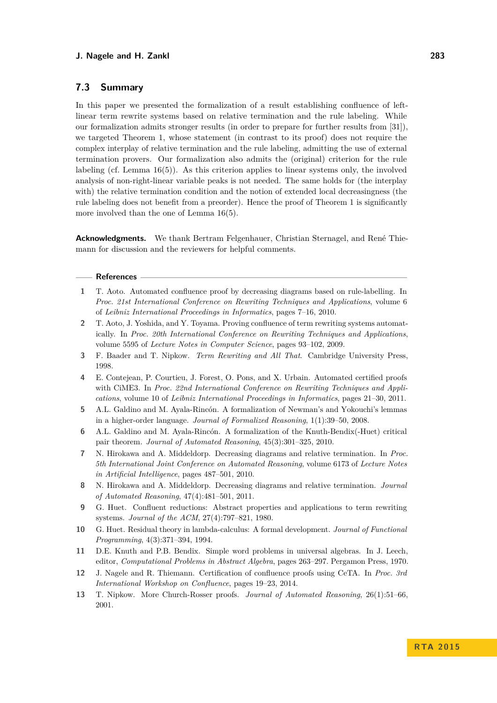# **7.3 Summary**

In this paper we presented the formalization of a result establishing confluence of leftlinear term rewrite systems based on relative termination and the rule labeling. While our formalization admits stronger results (in order to prepare for further results from [\[31\]](#page-15-3)), we targeted Theorem [1,](#page-0-1) whose statement (in contrast to its proof) does not require the complex interplay of relative termination and the rule labeling, admitting the use of external termination provers. Our formalization also admits the (original) criterion for the rule labeling (cf. Lemma [16\(](#page-10-5)[5\)](#page-10-4)). As this criterion applies to linear systems only, the involved analysis of non-right-linear variable peaks is not needed. The same holds for (the interplay with) the relative termination condition and the notion of extended local decreasingness (the rule labeling does not benefit from a preorder). Hence the proof of Theorem [1](#page-0-1) is significantly more involved than the one of Lemma [16\(](#page-10-5)[5\)](#page-10-4).

**Acknowledgments.** We thank Bertram Felgenhauer, Christian Sternagel, and René Thiemann for discussion and the reviewers for helpful comments.

#### **References**

- <span id="page-14-0"></span>**1** T. Aoto. Automated confluence proof by decreasing diagrams based on rule-labelling. In *Proc. 21st International Conference on Rewriting Techniques and Applications*, volume 6 of *Leibniz International Proceedings in Informatics*, pages 7–16, 2010.
- <span id="page-14-4"></span>**2** T. Aoto, J. Yoshida, and Y. Toyama. Proving confluence of term rewriting systems automatically. In *Proc. 20th International Conference on Rewriting Techniques and Applications*, volume 5595 of *Lecture Notes in Computer Science*, pages 93–102, 2009.
- <span id="page-14-12"></span>**3** F. Baader and T. Nipkow. *Term Rewriting and All That*. Cambridge University Press, 1998.
- <span id="page-14-11"></span>**4** E. Contejean, P. Courtieu, J. Forest, O. Pons, and X. Urbain. Automated certified proofs with CiME3. In *Proc. 22nd International Conference on Rewriting Techniques and Applications*, volume 10 of *Leibniz International Proceedings in Informatics*, pages 21–30, 2011.
- <span id="page-14-10"></span>**5** A.L. Galdino and M. Ayala-Rincón. A formalization of Newman's and Yokouchi's lemmas in a higher-order language. *Journal of Formalized Reasoning*, 1(1):39–50, 2008.
- <span id="page-14-9"></span>**6** A.L. Galdino and M. Ayala-Rincón. A formalization of the Knuth-Bendix(-Huet) critical pair theorem. *Journal of Automated Reasoning*, 45(3):301–325, 2010.
- <span id="page-14-1"></span>**7** N. Hirokawa and A. Middeldorp. Decreasing diagrams and relative termination. In *Proc. 5th International Joint Conference on Automated Reasoning*, volume 6173 of *Lecture Notes in Artificial Intelligence*, pages 487–501, 2010.
- <span id="page-14-2"></span>**8** N. Hirokawa and A. Middeldorp. Decreasing diagrams and relative termination. *Journal of Automated Reasoning*, 47(4):481–501, 2011.
- <span id="page-14-6"></span>**9** G. Huet. Confluent reductions: Abstract properties and applications to term rewriting systems. *Journal of the ACM*, 27(4):797–821, 1980.
- <span id="page-14-7"></span>**10** G. Huet. Residual theory in lambda-calculus: A formal development. *Journal of Functional Programming*, 4(3):371–394, 1994.
- <span id="page-14-5"></span>**11** D.E. Knuth and P.B. Bendix. Simple word problems in universal algebras. In J. Leech, editor, *Computational Problems in Abstract Algebra*, pages 263–297. Pergamon Press, 1970.
- <span id="page-14-3"></span>**12** J. Nagele and R. Thiemann. Certification of confluence proofs using CeTA. In *Proc. 3rd International Workshop on Confluence*, pages 19–23, 2014.
- <span id="page-14-8"></span>**13** T. Nipkow. More Church-Rosser proofs. *Journal of Automated Reasoning*, 26(1):51–66, 2001.